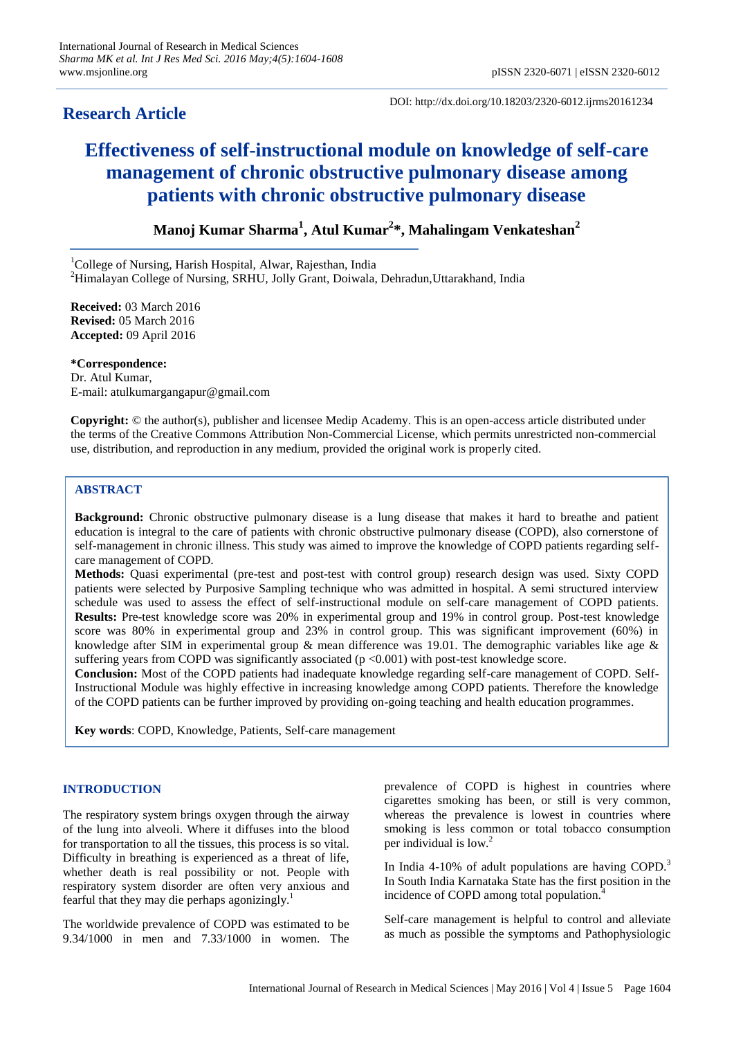## **Research Article**

DOI: http://dx.doi.org/10.18203/2320-6012.ijrms20161234

# **Effectiveness of self-instructional module on knowledge of self-care management of chronic obstructive pulmonary disease among patients with chronic obstructive pulmonary disease**

**Manoj Kumar Sharma<sup>1</sup> , Atul Kumar<sup>2</sup> \*, Mahalingam Venkateshan<sup>2</sup>**

<sup>1</sup>College of Nursing, Harish Hospital, Alwar, Rajesthan, India

<sup>2</sup>Himalayan College of Nursing, SRHU, Jolly Grant, Doiwala, Dehradun,Uttarakhand, India

**Received:** 03 March 2016 **Revised:** 05 March 2016 **Accepted:** 09 April 2016

**\*Correspondence:** Dr. Atul Kumar, E-mail: atulkumargangapur@gmail.com

**Copyright:** © the author(s), publisher and licensee Medip Academy. This is an open-access article distributed under the terms of the Creative Commons Attribution Non-Commercial License, which permits unrestricted non-commercial use, distribution, and reproduction in any medium, provided the original work is properly cited.

## **ABSTRACT**

**Background:** Chronic obstructive pulmonary disease is a lung disease that makes it hard to breathe and patient education is integral to the care of patients with chronic obstructive pulmonary disease (COPD), also cornerstone of self-management in chronic illness. This study was aimed to improve the knowledge of COPD patients regarding selfcare management of COPD.

**Methods:** Quasi experimental (pre-test and post-test with control group) research design was used. Sixty COPD patients were selected by Purposive Sampling technique who was admitted in hospital. A semi structured interview schedule was used to assess the effect of self-instructional module on self-care management of COPD patients. **Results:** Pre-test knowledge score was 20% in experimental group and 19% in control group. Post-test knowledge score was 80% in experimental group and 23% in control group. This was significant improvement (60%) in knowledge after SIM in experimental group  $\&$  mean difference was 19.01. The demographic variables like age  $\&$ suffering years from COPD was significantly associated (p <0.001) with post-test knowledge score.

**Conclusion:** Most of the COPD patients had inadequate knowledge regarding self-care management of COPD. Self-Instructional Module was highly effective in increasing knowledge among COPD patients. Therefore the knowledge of the COPD patients can be further improved by providing on-going teaching and health education programmes.

**Key words**: COPD, Knowledge, Patients, Self-care management

## **INTRODUCTION**

The respiratory system brings oxygen through the airway of the lung into alveoli. Where it diffuses into the blood for transportation to all the tissues, this process is so vital. Difficulty in breathing is experienced as a threat of life, whether death is real possibility or not. People with respiratory system disorder are often very anxious and fearful that they may die perhaps agonizingly.<sup>1</sup>

The worldwide prevalence of COPD was estimated to be 9.34/1000 in men and 7.33/1000 in women. The prevalence of COPD is highest in countries where cigarettes smoking has been, or still is very common, whereas the prevalence is lowest in countries where smoking is less common or total tobacco consumption per individual is low.<sup>2</sup>

In India 4-10% of adult populations are having COPD.<sup>3</sup> In South India Karnataka State has the first position in the incidence of COPD among total population.<sup>7</sup>

Self-care management is helpful to control and alleviate as much as possible the symptoms and Pathophysiologic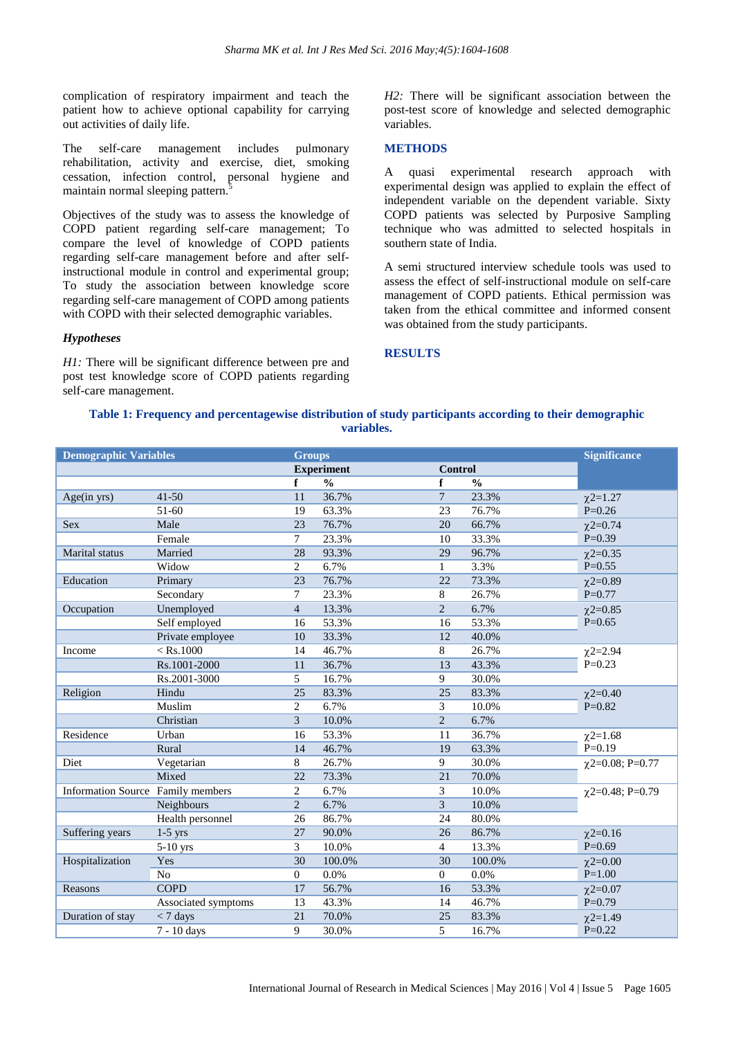complication of respiratory impairment and teach the patient how to achieve optional capability for carrying out activities of daily life.

The self-care management includes pulmonary rehabilitation, activity and exercise, diet, smoking cessation, infection control, personal hygiene and maintain normal sleeping pattern.<sup>5</sup>

Objectives of the study was to assess the knowledge of COPD patient regarding self-care management; To compare the level of knowledge of COPD patients regarding self-care management before and after selfinstructional module in control and experimental group; To study the association between knowledge score regarding self-care management of COPD among patients with COPD with their selected demographic variables.

#### *Hypotheses*

*H1*: There will be significant difference between pre and post test knowledge score of COPD patients regarding self-care management.

*H2:* There will be significant association between the post-test score of knowledge and selected demographic variables.

#### **METHODS**

A quasi experimental research approach with experimental design was applied to explain the effect of independent variable on the dependent variable. Sixty COPD patients was selected by Purposive Sampling technique who was admitted to selected hospitals in southern state of India.

A semi structured interview schedule tools was used to assess the effect of self-instructional module on self-care management of COPD patients. Ethical permission was taken from the ethical committee and informed consent was obtained from the study participants.

#### **RESULTS**

### **Table 1: Frequency and percentagewise distribution of study participants according to their demographic variables.**

| <b>Demographic Variables</b><br><b>Groups</b> |                     |                   |               |                 | <b>Significance</b> |                       |
|-----------------------------------------------|---------------------|-------------------|---------------|-----------------|---------------------|-----------------------|
|                                               |                     | <b>Experiment</b> |               | <b>Control</b>  |                     |                       |
|                                               |                     | f                 | $\frac{0}{0}$ | f               | $\frac{0}{0}$       |                       |
| Age(in yrs)                                   | $41 - 50$           | 11                | 36.7%         | 7               | 23.3%               | $\chi$ 2=1.27         |
|                                               | 51-60               | 19                | 63.3%         | 23              | 76.7%               | $P=0.26$              |
| <b>Sex</b>                                    | Male                | 23                | 76.7%         | 20              | 66.7%               | $\chi$ 2=0.74         |
|                                               | Female              | $\tau$            | 23.3%         | 10              | 33.3%               | $P=0.39$              |
| Marital status                                | Married             | 28                | 93.3%         | 29              | 96.7%               | $\chi$ 2=0.35         |
|                                               | Widow               | 2                 | 6.7%          | $\mathbf{1}$    | 3.3%                | $P=0.55$              |
| Education                                     | Primary             | 23                | 76.7%         | 22              | 73.3%               | $\chi$ 2=0.89         |
|                                               | Secondary           | 7                 | 23.3%         | 8               | 26.7%               | $P=0.77$              |
| Occupation                                    | Unemployed          | $\overline{4}$    | 13.3%         | $\overline{2}$  | 6.7%                | $\chi$ 2=0.85         |
|                                               | Self employed       | 16                | 53.3%         | 16              | 53.3%               | $P=0.65$              |
|                                               | Private employee    | 10                | 33.3%         | 12              | 40.0%               |                       |
| Income                                        | $<$ Rs.1000         | 14                | 46.7%         | 8               | 26.7%               | $\chi$ 2=2.94         |
|                                               | Rs.1001-2000        | 11                | 36.7%         | 13              | 43.3%               | $P=0.23$              |
|                                               | Rs.2001-3000        | 5                 | 16.7%         | 9               | 30.0%               |                       |
| Religion                                      | Hindu               | 25                | 83.3%         | 25              | 83.3%               | $\chi$ 2=0.40         |
|                                               | Muslim              | 2                 | 6.7%          | 3               | 10.0%               | $P=0.82$              |
|                                               | Christian           | $\overline{3}$    | 10.0%         | $\overline{c}$  | 6.7%                |                       |
| Residence                                     | Urban               | 16                | 53.3%         | 11              | 36.7%               | $\chi$ 2=1.68         |
|                                               | Rural               | 14                | 46.7%         | 19              | 63.3%               | $P=0.19$              |
| Diet                                          | Vegetarian          | 8                 | 26.7%         | 9               | 30.0%               | $\chi$ 2=0.08; P=0.77 |
|                                               | Mixed               | 22                | 73.3%         | 21              | 70.0%               |                       |
| <b>Information Source</b> Family members      |                     | $\overline{2}$    | 6.7%          | 3               | 10.0%               | $\chi$ 2=0.48; P=0.79 |
|                                               | Neighbours          | $\overline{2}$    | 6.7%          | 3               | 10.0%               |                       |
|                                               | Health personnel    | 26                | 86.7%         | 24              | 80.0%               |                       |
| Suffering years                               | $1-5$ yrs           | 27                | 90.0%         | 26              | 86.7%               | $\chi$ 2=0.16         |
|                                               | 5-10 yrs            | 3                 | 10.0%         | $\overline{4}$  | 13.3%               | $P=0.69$              |
| Hospitalization                               | Yes                 | 30                | 100.0%        | 30              | 100.0%              | $\chi$ 2=0.00         |
|                                               | N <sub>o</sub>      | $\overline{0}$    | 0.0%          | 0               | 0.0%                | $P=1.00$              |
| Reasons                                       | <b>COPD</b>         | 17                | 56.7%         | 16              | 53.3%               | $\chi$ 2=0.07         |
|                                               | Associated symptoms | 13                | 43.3%         | 14              | 46.7%               | $P=0.79$              |
| Duration of stay                              | $<$ 7 days          | 21                | 70.0%         | $\overline{25}$ | 83.3%               | $\chi$ 2=1.49         |
|                                               | 7 - 10 days         | 9                 | 30.0%         | 5               | 16.7%               | $P = 0.22$            |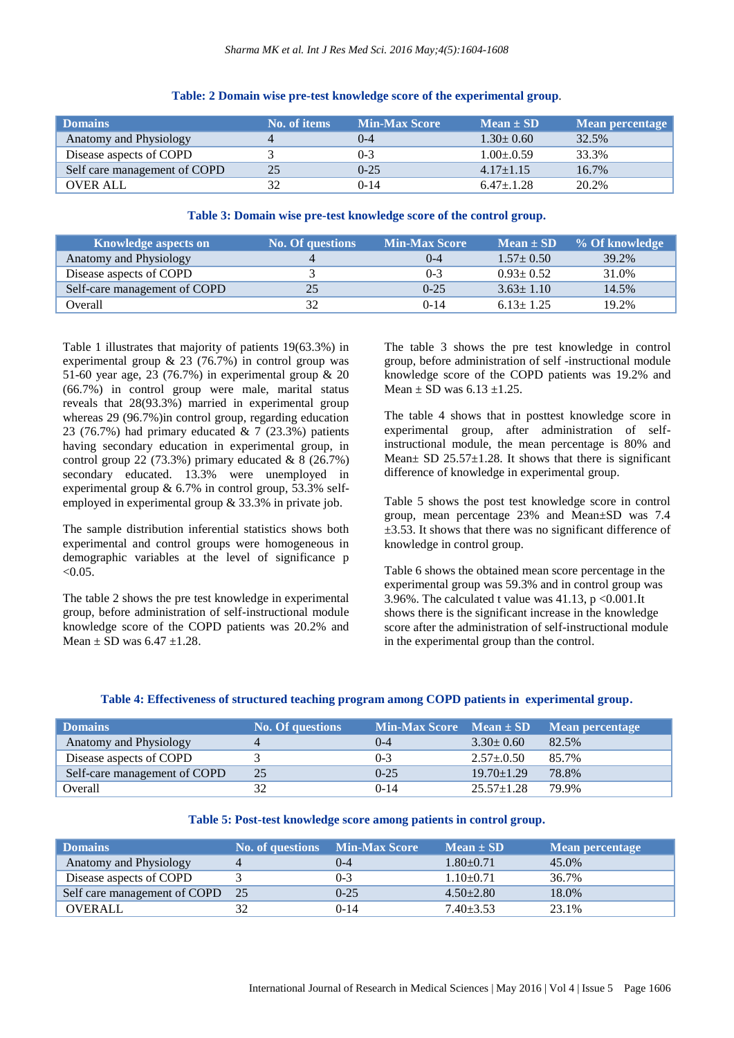| <b>Domains</b>               | No. of items | <b>Min-Max Score</b> | $Mean \pm SD$   | Mean percentage |
|------------------------------|--------------|----------------------|-----------------|-----------------|
| Anatomy and Physiology       |              | $($ )-4              | $1.30 \pm 0.60$ | 32.5%           |
| Disease aspects of COPD      |              | $0 - 3$              | $1.00 \pm 0.59$ | 33.3%           |
| Self care management of COPD | 25           | $0-25$               | $4.17\pm1.15$   | 16.7%           |
| <b>OVER ALL</b>              | 32           | $0 - 14$             | $6.47 \pm 1.28$ | 20.2%           |

### **Table: 2 Domain wise pre-test knowledge score of the experimental group**.

## **Table 3: Domain wise pre-test knowledge score of the control group.**

| <b>Knowledge aspects on</b>  | <b>No. Of questions</b> | <b>Min-Max Score</b> | $Mean \pm SD$   | % Of knowledge |
|------------------------------|-------------------------|----------------------|-----------------|----------------|
| Anatomy and Physiology       |                         | $($ )-4              | $1.57 \pm 0.50$ | 39.2%          |
| Disease aspects of COPD      |                         | 0-3                  | $0.93 \pm 0.52$ | 31.0%          |
| Self-care management of COPD | 25                      | $0 - 25$             | $3.63 \pm 1.10$ | 14.5%          |
| Overall                      | 32                      | $0 - 14$             | $6.13 + 1.25$   | 19.2%          |

Table 1 illustrates that majority of patients 19(63.3%) in experimental group  $\& 23$  (76.7%) in control group was 51-60 year age, 23 (76.7%) in experimental group & 20 (66.7%) in control group were male, marital status reveals that 28(93.3%) married in experimental group whereas 29 (96.7%)in control group, regarding education 23 (76.7%) had primary educated  $\&$  7 (23.3%) patients having secondary education in experimental group, in control group 22 (73.3%) primary educated  $& 8$  (26.7%) secondary educated. 13.3% were unemployed in experimental group & 6.7% in control group, 53.3% selfemployed in experimental group & 33.3% in private job.

The sample distribution inferential statistics shows both experimental and control groups were homogeneous in demographic variables at the level of significance p  $< 0.05$ .

The table 2 shows the pre test knowledge in experimental group, before administration of self-instructional module knowledge score of the COPD patients was 20.2% and Mean  $\pm$  SD was 6.47  $\pm$ 1.28.

The table 3 shows the pre test knowledge in control group, before administration of self -instructional module knowledge score of the COPD patients was 19.2% and Mean  $\pm$  SD was 6.13  $\pm$ 1.25.

The table 4 shows that in posttest knowledge score in experimental group, after administration of selfinstructional module, the mean percentage is 80% and Mean $\pm$  SD 25.57 $\pm$ 1.28. It shows that there is significant difference of knowledge in experimental group.

Table 5 shows the post test knowledge score in control group, mean percentage 23% and Mean±SD was 7.4  $\pm$ 3.53. It shows that there was no significant difference of knowledge in control group.

Table 6 shows the obtained mean score percentage in the experimental group was 59.3% and in control group was 3.96%. The calculated t value was  $41.13$ , p <0.001.It shows there is the significant increase in the knowledge score after the administration of self-instructional module in the experimental group than the control.

#### **Table 4: Effectiveness of structured teaching program among COPD patients in experimental group.**

| <b>Domains</b>               | <b>No. Of questions</b> | $\mathbf{Min}\text{-}\mathbf{Max}$ Score Mean $\pm$ SD |                  | Mean percentage |
|------------------------------|-------------------------|--------------------------------------------------------|------------------|-----------------|
| Anatomy and Physiology       | 4                       | $_{0-4}$                                               | $3.30 \pm 0.60$  | 82.5%           |
| Disease aspects of COPD      |                         | $0 - 3$                                                | $2.57 \pm 0.50$  | 85.7%           |
| Self-care management of COPD | 25                      | $0-25$                                                 | $19.70 \pm 1.29$ | 78.8%           |
| Overall                      |                         | $0 - 14$                                               | $25.57 \pm 1.28$ | 79.9%           |

#### **Table 5: Post-test knowledge score among patients in control group.**

| <b>Domains</b>               | <b>No. of questions</b> Min-Max Score |          | $Mean \pm SD$   | Mean percentage |
|------------------------------|---------------------------------------|----------|-----------------|-----------------|
| Anatomy and Physiology       |                                       | $($ )-4  | $1.80+0.71$     | 45.0%           |
| Disease aspects of COPD      |                                       | $0 - 3$  | $1.10+0.71$     | 36.7%           |
| Self care management of COPD | 25                                    | $0 - 25$ | $4.50 \pm 2.80$ | 18.0%           |
| <b>OVERALL</b>               | 32                                    | $0-14$   | $7.40 \pm 3.53$ | 23.1%           |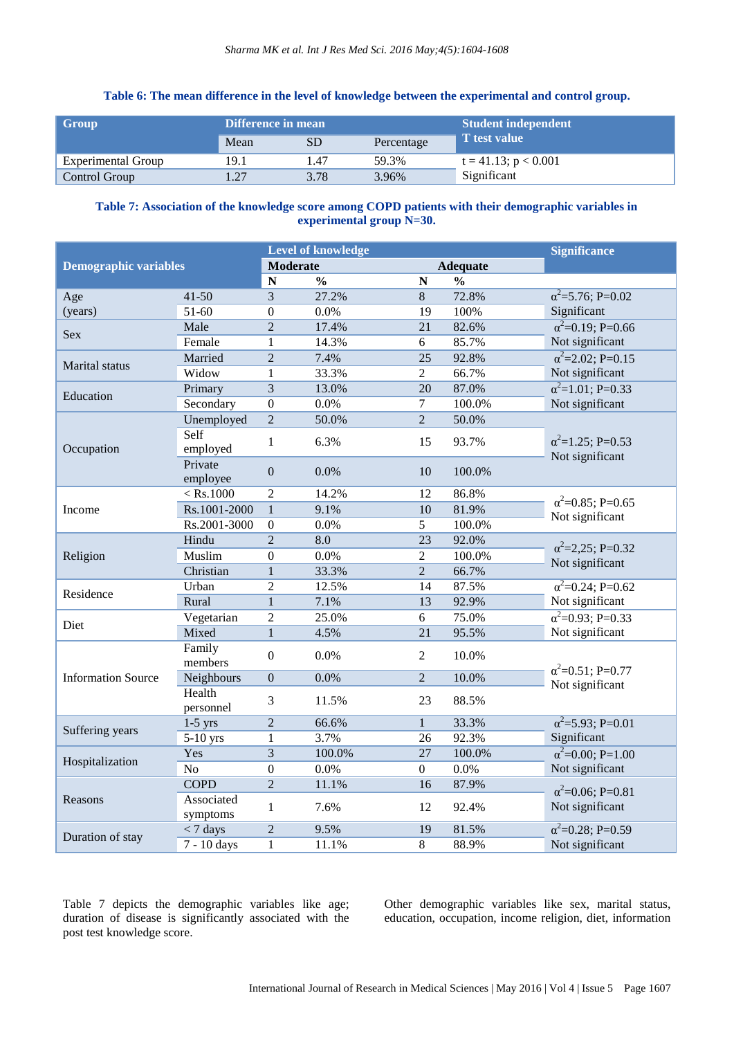## **Table 6: The mean difference in the level of knowledge between the experimental and control group.**

| Group              | Difference in mean |      |            | <b>Student independent</b> |  |
|--------------------|--------------------|------|------------|----------------------------|--|
|                    | Mean               |      | Percentage | T test value               |  |
| Experimental Group | 19.1               | .47  | 59.3%      | $t = 41.13$ ; $p < 0.001$  |  |
| Control Group      |                    | 3.78 | 3.96%      | Significant                |  |

## **Table 7: Association of the knowledge score among COPD patients with their demographic variables in experimental group N=30.**

| <b>Demographic variables</b> |                        | <b>Level of knowledge</b> |                          |                    |                          | <b>Significance</b>                         |
|------------------------------|------------------------|---------------------------|--------------------------|--------------------|--------------------------|---------------------------------------------|
|                              |                        | <b>Moderate</b>           |                          |                    | <b>Adequate</b>          |                                             |
|                              |                        | $\overline{\mathbf{N}}$   | $\overline{\frac{0}{0}}$ | $\overline{\bf N}$ | $\overline{\frac{0}{0}}$ |                                             |
| Age                          | $41 - 50$              | $\overline{3}$            | 27.2%                    | 8                  | 72.8%                    | $\alpha^2$ =5.76; P=0.02                    |
| (years)                      | $51-60$                | $\mathbf{0}$              | 0.0%                     | 19                 | 100%                     | Significant                                 |
|                              | Male                   | $\overline{2}$            | 17.4%                    | $\overline{21}$    | 82.6%                    | $\alpha^2 = 0.19$ ; P=0.66                  |
| <b>Sex</b>                   | Female                 | $\mathbf{1}$              | 14.3%                    | 6                  | 85.7%                    | Not significant                             |
|                              | Married                | $\overline{2}$            | 7.4%                     | 25                 | 92.8%                    | $\alpha^2 = 2.02$ ; P=0.15                  |
| Marital status               | Widow                  | $\mathbf{1}$              | 33.3%                    | $\overline{2}$     | 66.7%                    | Not significant                             |
| Education                    | Primary                | $\overline{3}$            | 13.0%                    | 20                 | 87.0%                    | $\alpha^2$ =1.01; P=0.33                    |
|                              | Secondary              | $\overline{0}$            | 0.0%                     | $\tau$             | 100.0%                   | Not significant                             |
|                              | Unemployed             | $\overline{c}$            | 50.0%                    | $\overline{2}$     | 50.0%                    |                                             |
| Occupation                   | Self<br>employed       | 1                         | 6.3%                     | 15                 | 93.7%                    | $\alpha^2$ =1.25; P=0.53<br>Not significant |
|                              | Private<br>employee    | $\boldsymbol{0}$          | 0.0%                     | 10                 | 100.0%                   |                                             |
|                              | $<$ Rs.1000            | $\overline{2}$            | 14.2%                    | 12                 | 86.8%                    |                                             |
| Income                       | Rs.1001-2000           | $\mathbf{1}$              | 9.1%                     | 10                 | 81.9%                    | $\alpha^2$ =0.85; P=0.65                    |
|                              | Rs.2001-3000           | $\boldsymbol{0}$          | 0.0%                     | 5                  | 100.0%                   | Not significant                             |
|                              | Hindu                  | $\overline{2}$            | 8.0                      | 23                 | 92.0%                    |                                             |
| Religion                     | Muslim                 | $\boldsymbol{0}$          | 0.0%                     | $\overline{c}$     | 100.0%                   | $\alpha^2$ =2,25; P=0.32                    |
|                              | Christian              | $\mathbf{1}$              | 33.3%                    | $\overline{2}$     | 66.7%                    | Not significant                             |
|                              | Urban                  | $\overline{2}$            | 12.5%                    | 14                 | 87.5%                    | $\alpha^2 = 0.24$ ; P=0.62                  |
| Residence                    | Rural                  | $\overline{1}$            | 7.1%                     | $\overline{13}$    | 92.9%                    | Not significant                             |
|                              | Vegetarian             | $\overline{c}$            | 25.0%                    | 6                  | 75.0%                    | $\alpha^2 = 0.93; P = 0.33$                 |
| Diet                         | Mixed                  | $\mathbf{1}$              | 4.5%                     | 21                 | 95.5%                    | Not significant                             |
|                              | Family<br>members      | $\Omega$                  | 0.0%                     | $\overline{2}$     | 10.0%                    | $\alpha^2$ =0.51; P=0.77                    |
| <b>Information Source</b>    | Neighbours             | $\overline{0}$            | 0.0%                     | $\overline{2}$     | 10.0%                    | Not significant                             |
|                              | Health<br>personnel    | 3                         | 11.5%                    | 23                 | 88.5%                    |                                             |
|                              | $1-5$ yrs              | $\overline{2}$            | 66.6%                    | $\mathbf{1}$       | 33.3%                    | $\alpha^2 = 5.93; P = 0.01$                 |
| Suffering years              | $5-10$ yrs             | $\mathbf{1}$              | 3.7%                     | 26                 | 92.3%                    | Significant                                 |
| Hospitalization              | Yes                    | 3                         | 100.0%                   | 27                 | 100.0%                   | $\alpha^2 = 0.00; P = 1.00$                 |
|                              | $\overline{No}$        | $\boldsymbol{0}$          | 0.0%                     | $\boldsymbol{0}$   | 0.0%                     | Not significant                             |
| Reasons                      | <b>COPD</b>            | $\overline{2}$            | 11.1%                    | 16                 | 87.9%                    | $\alpha^2$ =0.06; P=0.81                    |
|                              | Associated<br>symptoms | $\mathbf{1}$              | 7.6%                     | 12                 | 92.4%                    | Not significant                             |
|                              | $<$ 7 days             | $\overline{2}$            | 9.5%                     | 19                 | 81.5%                    | $\alpha^2 = 0.28$ ; P=0.59                  |
| Duration of stay             | 7 - 10 days            | $\mathbf{1}$              | 11.1%                    | $8\,$              | 88.9%                    | Not significant                             |

Table 7 depicts the demographic variables like age; duration of disease is significantly associated with the post test knowledge score.

Other demographic variables like sex, marital status, education, occupation, income religion, diet, information